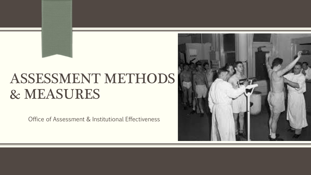# ASSESSMENT METHODS & MEASURES

Office of Assessment & Institutional Effectiveness

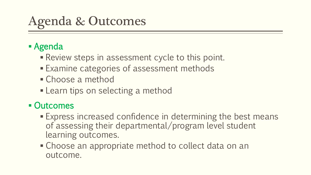# Agenda & Outcomes

### Agenda

- **Review steps in assessment cycle to this point.**
- Examine categories of assessment methods
- Choose a method
- **Learn tips on selecting a method**

### ■ Outcomes

- Express increased confidence in determining the best means of assessing their departmental/program level student learning outcomes.
- **Choose an appropriate method to collect data on an** outcome.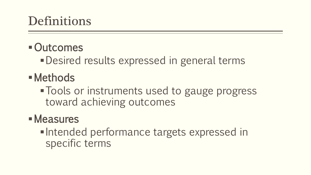## Definitions

### Outcomes

Desired results expressed in general terms

- Methods
	- **Tools or instruments used to gauge progress** toward achieving outcomes

### Measures

• Intended performance targets expressed in specific terms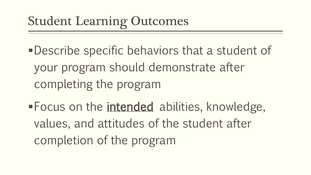# Student Learning Outcomes

- Describe specific behaviors that a student of your program should demonstrate after completing the program
- **Focus on the intended** abilities, knowledge, values, and attitudes of the student after completion of the program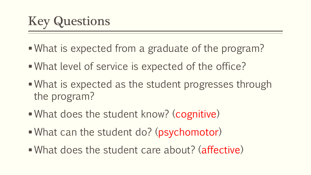- What is expected from a graduate of the program?
- What level of service is expected of the office?
- What is expected as the student progresses through the program?
- What does the student know? (cognitive)
- What can the student do? (psychomotor)
- What does the student care about? (affective)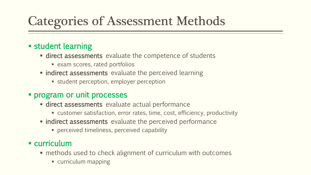# Categories of Assessment Methods

#### **student learning**

- **direct assessments** evaluate the competence of students
	- exam scores, rated portfolios
- **netable indirect assessments** evaluate the perceived learning
	- **student perception, employer perception**

#### **Program or unit processes**

- **direct assessments** evaluate actual performance
	- customer satisfaction, error rates, time, cost, efficiency, productivity
- **Indirect assessments** evaluate the perceived performance
	- **Perceived timeliness, perceived capability**

#### curriculum

- methods used to check alignment of curriculum with outcomes
	- **curriculum mapping**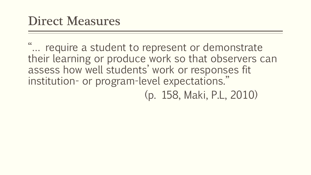"… require a student to represent or demonstrate their learning or produce work so that observers can assess how well students' work or responses fit institution- or program-level expectations." (p. 158, Maki, P.L, 2010)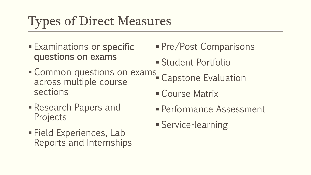# Types of Direct Measures

- **Examinations or specific** questions on exams
- **Common questions on exams\_** across multiple course sections
- Research Papers and Projects
- Field Experiences, Lab Reports and Internships
- **Pre/Post Comparisons**
- Student Portfolio
- Capstone Evaluation
- Course Matrix
- Performance Assessment
- Service-learning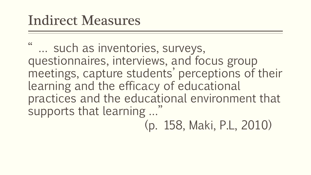# Indirect Measures

" … such as inventories, surveys, questionnaires, interviews, and focus group meetings, capture students' perceptions of their learning and the efficacy of educational practices and the educational environment that supports that learning …"

(p. 158, Maki, P.L, 2010)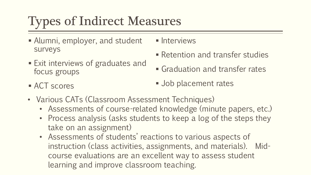# Types of Indirect Measures

- Alumni, employer, and student surveys
- Exit interviews of graduates and focus groups
- **Interviews**
- **Retention and transfer studies**
- Graduation and transfer rates

■ ACT scores

- **Job placement rates**
- Various CATs (Classroom Assessment Techniques)
	- Assessments of course-related knowledge (minute papers, etc.)
	- Process analysis (asks students to keep a log of the steps they take on an assignment)
	- Assessments of students' reactions to various aspects of instruction (class activities, assignments, and materials). Midcourse evaluations are an excellent way to assess student learning and improve classroom teaching.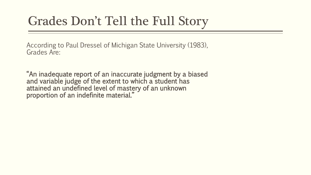## Grades Don't Tell the Full Story

According to Paul Dressel of Michigan State University (1983), Grades Are:

"An inadequate report of an inaccurate judgment by a biased and variable judge of the extent to which a student has attained an undefined level of mastery of an unknown proportion of an indefinite material."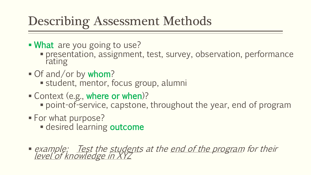# Describing Assessment Methods

- **What** are you going to use?
	- presentation, assignment, test, survey, observation, performance rating
- Of and/or by whom?
	- student, mentor, focus group, alumni
- Context (e.g., where or when)?
	- point-of-service, capstone, throughout the year, end of program
- **For what purpose?** 
	- **desired learning outcome**
- **•** example: Test the students at the end of the program for their <u>level'of knowledge in XYZ</u>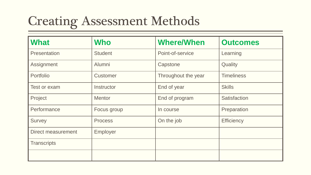# Creating Assessment Methods

| <b>What</b>        | <b>Who</b>      | <b>Where/When</b>   | <b>Outcomes</b>     |
|--------------------|-----------------|---------------------|---------------------|
| Presentation       | <b>Student</b>  | Point-of-service    | Learning            |
| Assignment         | Alumni          | Capstone            | Quality             |
| Portfolio          | <b>Customer</b> | Throughout the year | <b>Timeliness</b>   |
| Test or exam       | Instructor      | End of year         | <b>Skills</b>       |
| Project            | <b>Mentor</b>   | End of program      | <b>Satisfaction</b> |
| Performance        | Focus group     | In course           | Preparation         |
| <b>Survey</b>      | <b>Process</b>  | On the job          | <b>Efficiency</b>   |
| Direct measurement | Employer        |                     |                     |
| <b>Transcripts</b> |                 |                     |                     |
|                    |                 |                     |                     |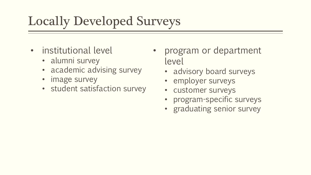# Locally Developed Surveys

- institutional level
	- alumni survey
	- academic advising survey
	- image survey
	- student satisfaction survey
- program or department level
	- advisory board surveys
	- employer surveys
	- customer surveys
	- program-specific surveys
	- graduating senior survey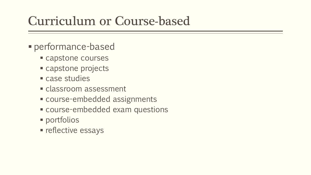## Curriculum or Course-based

- performance-based
	- **Capstone courses**
	- capstone projects
	- Case studies
	- **Classroom assessment**
	- course-embedded assignments
	- course-embedded exam questions
	- portfolios
	- **reflective essays**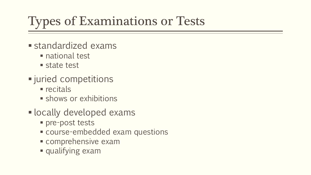# Types of Examinations or Tests

- standardized exams
	- national test
	- state test
- juried competitions
	- $rec$ itals
	- **shows or exhibitions**
- **-locally developed exams** 
	- **Pre-post tests**
	- course-embedded exam questions
	- **Comprehensive exam**
	- qualifying exam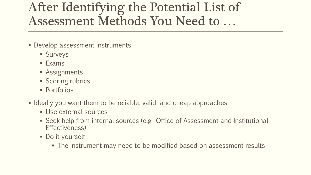## After Identifying the Potential List of Assessment Methods You Need to …

- **Develop assessment instruments** 
	- **Surveys**
	- **Exams**
	- **Assignments**
	- **Scoring rubrics**
	- **Portfolios**
- I deally you want them to be reliable, valid, and cheap approaches
	- **Use external sources**
	- Seek help from internal sources (e.g. Office of Assessment and Institutional Effectiveness)
	- Do it yourself
		- The instrument may need to be modified based on assessment results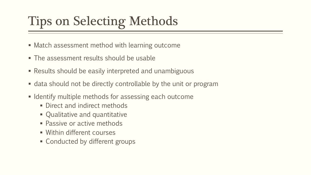# Tips on Selecting Methods

- Match assessment method with learning outcome
- The assessment results should be usable
- Results should be easily interpreted and unambiguous
- data should not be directly controllable by the unit or program
- **IDENTIFY** multiple methods for assessing each outcome
	- **Direct and indirect methods**
	- Qualitative and quantitative
	- Passive or active methods
	- **Within different courses**
	- **Conducted by different groups**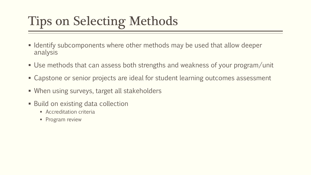# Tips on Selecting Methods

- I dentify subcomponents where other methods may be used that allow deeper analysis
- Use methods that can assess both strengths and weakness of your program/unit
- Capstone or senior projects are ideal for student learning outcomes assessment
- When using surveys, target all stakeholders
- **Build on existing data collection** 
	- **Accreditation criteria**
	- Program review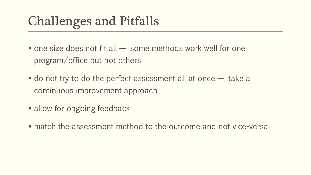# Challenges and Pitfalls

- $\blacksquare$  one size does not fit all  $\smile$  some methods work well for one program/office but not others
- $\blacksquare$  do not try to do the perfect assessment all at once  $\smile$  take a continuous improvement approach
- allow for ongoing feedback
- match the assessment method to the outcome and not vice-versa